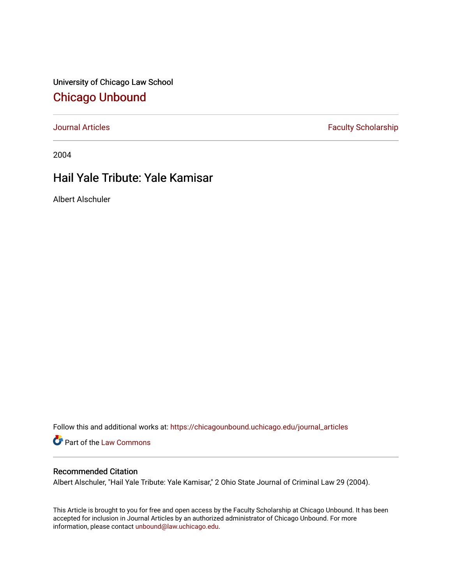University of Chicago Law School [Chicago Unbound](https://chicagounbound.uchicago.edu/)

[Journal Articles](https://chicagounbound.uchicago.edu/journal_articles) **Faculty Scholarship Faculty Scholarship** 

2004

## Hail Yale Tribute: Yale Kamisar

Albert Alschuler

Follow this and additional works at: [https://chicagounbound.uchicago.edu/journal\\_articles](https://chicagounbound.uchicago.edu/journal_articles?utm_source=chicagounbound.uchicago.edu%2Fjournal_articles%2F979&utm_medium=PDF&utm_campaign=PDFCoverPages) 

Part of the [Law Commons](http://network.bepress.com/hgg/discipline/578?utm_source=chicagounbound.uchicago.edu%2Fjournal_articles%2F979&utm_medium=PDF&utm_campaign=PDFCoverPages)

## Recommended Citation

Albert Alschuler, "Hail Yale Tribute: Yale Kamisar," 2 Ohio State Journal of Criminal Law 29 (2004).

This Article is brought to you for free and open access by the Faculty Scholarship at Chicago Unbound. It has been accepted for inclusion in Journal Articles by an authorized administrator of Chicago Unbound. For more information, please contact [unbound@law.uchicago.edu](mailto:unbound@law.uchicago.edu).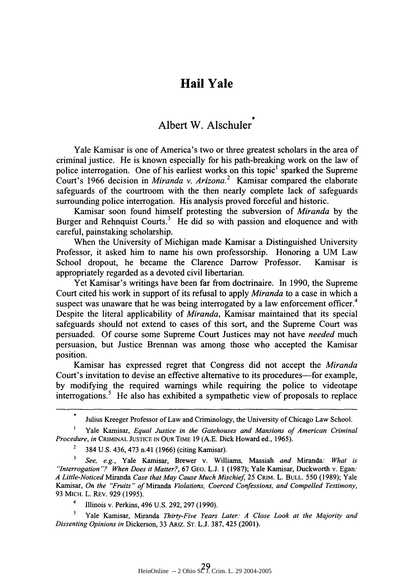## **Hail Yale**

## Albert W. Alschuler

Yale Kamisar is one of America's two or three greatest scholars in the area of criminal justice. He is known especially for his path-breaking work on the law of police interrogation. One of his earliest works on this topic<sup>1</sup> sparked the Supreme Court's 1966 decision in *Miranda v. Arizona.2* Kamisar compared the elaborate safeguards of the courtroom with the then nearly complete lack of safeguards surrounding police interrogation. His analysis proved forceful and historic.

Kamisar soon found himself protesting the subversion of *Miranda* by the Burger and Rehnquist Courts.<sup>3</sup> He did so with passion and eloquence and with careful, painstaking scholarship.

When the University of Michigan made Kamisar a Distinguished University Professor, it asked him to name his own professorship. Honoring a UM Law School dropout, he became the Clarence Darrow Professor. Kamisar is appropriately regarded as a devoted civil libertarian.

Yet Kamisar's writings have been far from doctrinaire. In 1990, the Supreme Court cited his work in support of its refusal to apply *Miranda* to a case in which a suspect was unaware that he was being interrogated by a law enforcement officer.<sup>4</sup> Despite the literal applicability of *Miranda,* Kamisar maintained that its special safeguards should not extend to cases of this sort, and the Supreme Court was persuaded. Of course some Supreme Court Justices may not have *needed* much persuasion, but Justice Brennan was among those who accepted the Kamisar position.

Kamisar has expressed regret that Congress did not accept the *Miranda* Court's invitation to devise an effective alternative to its procedures—for example, by modifying the required warnings while requiring the police to videotape interrogations.<sup>5</sup> He also has exhibited a sympathetic view of proposals to replace

Julius Kreeger Professor of Law and Criminology, the University of Chicago Law School.

Yale Kamisar, *Equal Justice in the Gatehouses and Mansions of American Criminal Procedure, in* CRIMINAL **JUSTICE IN OUR** TIME 19 (A.E. Dick Howard ed., 1965).

2 384 U.S. 436, 473 n.41 (1966) (citing Kamisar).

*<sup>3</sup>See, e.g.,* Yale Kamisar, Brewer v. Williams, Massiah *and* Miranda: *What is "Interrogation "? When Does it Matter?,* 67 GEO. L.J. 1 (1987); Yale Kamisar, Duckworth v. Egan: *A Little-Noticed Miranda Case that May Cause Much Mischief,* 25 CRIM. L. **BULL.** 550 (1989); Yale Kamisar, *On the "Fruits" of Miranda Violations, Coerced Confessions, and Compelled Testimony,* 93 MicH. L. REV. 929 (1995).

Illinois v. Perkins, 496 U.S. 292, 297 (1990).

*5* Yale Kamisar, Miranda *Thirty-Five Years Later: A Close Look at the Majority and Dissenting Opinions in* Dickerson, 33 ARIZ. ST. L.J. 387, 425 (2001).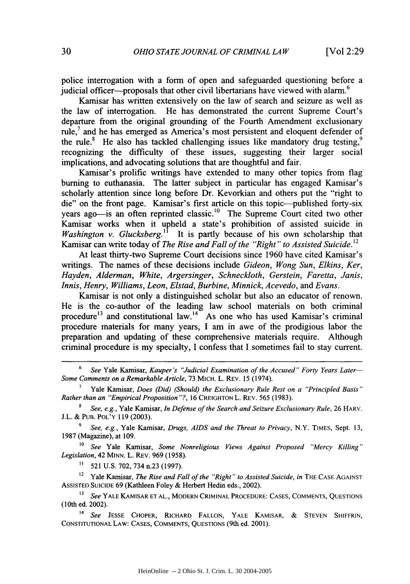police interrogation with a form of open and safeguarded questioning before a judicial officer—proposals that other civil libertarians have viewed with alarm. $<sup>6</sup>$ </sup>

Kamisar has written extensively on the law of search and seizure as well as the law of interrogation. He has demonstrated the current Supreme Court's departure from the original grounding of the Fourth Amendment exclusionary rule, $<sup>7</sup>$  and he has emerged as America's most persistent and eloquent defender of</sup> the rule.<sup>8</sup> He also has tackled challenging issues like mandatory drug testing,<sup>9</sup> recognizing the difficulty of these issues, suggesting their larger social implications, and advocating solutions that are thoughtful and fair.

Kamisar's prolific writings have extended to many other topics from flag burning to euthanasia. The latter subject in particular has engaged Kamisar's scholarly attention since long before Dr. Kevorkian and others put the "right to die" on the front page. Kamisar's first article on this topic-published forty-six years ago—is an often reprinted classic.<sup>10</sup> The Supreme Court cited two other Kamisar works when it upheld a state's prohibition of assisted suicide in *Washington v. Glucksberg.*<sup>11</sup> It is partly because of his own scholarship that Kamisar can write today of *The Rise and Fall of the "Right" to Assisted Suicide*.<sup>12</sup>

At least thirty-two Supreme Court decisions since 1960 have cited Kamisar's writings. The names of these decisions include *Gideon, Wong Sun, Elkins, Ker, Hayden, Alderman, White, Argersinger, Schneckloth, Gerstein, Faretta, Janis, Innis, Henry, Williams, Leon, Elstad, Burbine, Minnick, Acevedo,* and *Evans.*

Kamisar is not only a distinguished scholar but also an educator of renown. He is the co-author of the leading law school materials on both criminal procedure<sup>13</sup> and constitutional law.<sup>14</sup> As one who has used Kamisar's criminal procedure materials for many years, I am in awe of the prodigious labor the preparation and updating of these comprehensive materials require. Although criminal procedure is my specialty, I confess that I sometimes fail to stay current.

6 *See* Yale Kamisar, *Kauper's "Judicial Examination of the Accused" Forty Years Later-Some Comments on a Remarkable Article,* 73 MICH. L. REV. 15 (1974).

**<sup>7</sup>**Yale Kamisar, *Does (Did) (Should) the Exclusionary Rule Rest on a "Principled Basis" Rather than an "Empirical Proposition* **"?,** 16 **CREIGHTON L.** REV. 565 (1983).

<sup>8</sup>*See, e.g.,* Yale Kamisar, *In Defense of the Search and Seizure Exclusionary Rule,* 26 HARV. J.L. & PUB. POL'Y 119 (2003).

**9** *See, e.g.,* Yale Kamisar, *Drugs, AIDS and the Threat to Privacy,* N.Y. TIMES, Sept. 13, 1987 (Magazine), at 109.

**1o** *See* Yale Kamisar, *Some Nonreligious Views Against Proposed "Mercy Killing" Legislation,* 42 **MINN.** L. REV. 969 (1958).

**11** 521 U.S. 702, 734 n.23 (1997).

<sup>12</sup> Yale Kamisar, *The Rise and Fall of the "Right" to Assisted Suicide, in* THE CASE AGAINST ASSISTED **SUICIDE** 69 (Kathleen Foley & Herbert Hedin eds., 2002).

**<sup>13</sup>***See* YALE KAMISAR **ET AL.,** MODERN CRIMINAL PROCEDURE: CASES, COMMENTS, QUESTIONS (10th ed. 2002).

14 *See* JESSE CHOPER, RICHARD FALLON, YALE KAMISAR, **&** STEVEN SHIFFRIN, CONSTITUTIONAL LAW: CASES, COMMENTS, QUESTIONS (9th ed. 2001).